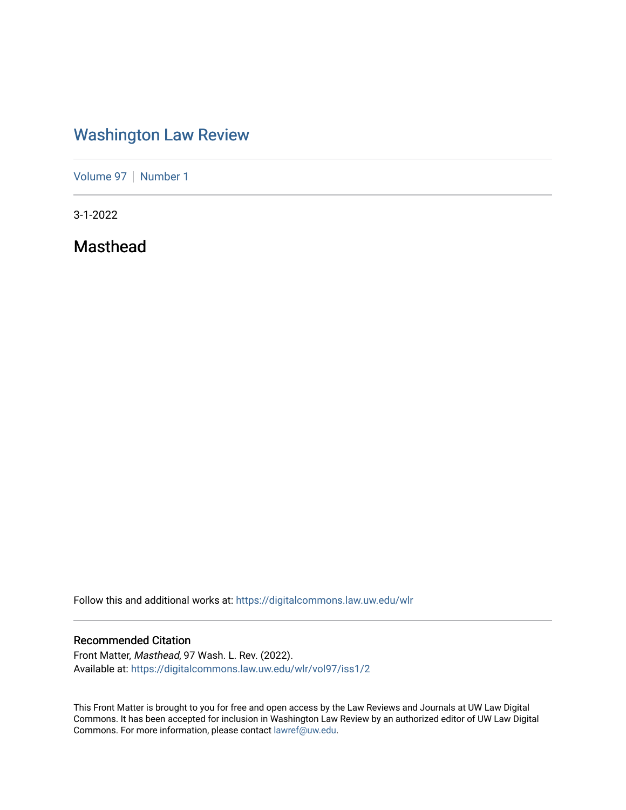# [Washington Law Review](https://digitalcommons.law.uw.edu/wlr)

[Volume 97](https://digitalcommons.law.uw.edu/wlr/vol97) | [Number 1](https://digitalcommons.law.uw.edu/wlr/vol97/iss1)

3-1-2022

Masthead

Follow this and additional works at: [https://digitalcommons.law.uw.edu/wlr](https://digitalcommons.law.uw.edu/wlr?utm_source=digitalcommons.law.uw.edu%2Fwlr%2Fvol97%2Fiss1%2F2&utm_medium=PDF&utm_campaign=PDFCoverPages)

### Recommended Citation

Front Matter, Masthead, 97 Wash. L. Rev. (2022). Available at: [https://digitalcommons.law.uw.edu/wlr/vol97/iss1/2](https://digitalcommons.law.uw.edu/wlr/vol97/iss1/2?utm_source=digitalcommons.law.uw.edu%2Fwlr%2Fvol97%2Fiss1%2F2&utm_medium=PDF&utm_campaign=PDFCoverPages)

This Front Matter is brought to you for free and open access by the Law Reviews and Journals at UW Law Digital Commons. It has been accepted for inclusion in Washington Law Review by an authorized editor of UW Law Digital Commons. For more information, please contact [lawref@uw.edu](mailto:lawref@uw.edu).